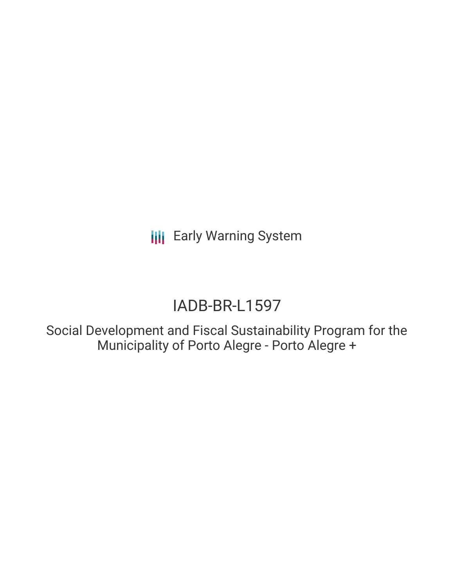**III** Early Warning System

# IADB-BR-L1597

Social Development and Fiscal Sustainability Program for the Municipality of Porto Alegre - Porto Alegre +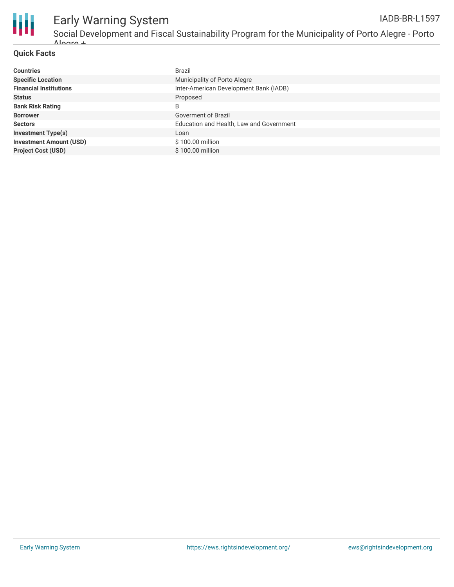

## Early Warning System

### **Quick Facts**

| <b>Countries</b>               | Brazil                                   |
|--------------------------------|------------------------------------------|
| <b>Specific Location</b>       | Municipality of Porto Alegre             |
| <b>Financial Institutions</b>  | Inter-American Development Bank (IADB)   |
| <b>Status</b>                  | Proposed                                 |
| <b>Bank Risk Rating</b>        | B                                        |
| <b>Borrower</b>                | Goverment of Brazil                      |
| <b>Sectors</b>                 | Education and Health, Law and Government |
| <b>Investment Type(s)</b>      | Loan                                     |
| <b>Investment Amount (USD)</b> | \$100.00 million                         |
| <b>Project Cost (USD)</b>      | \$100,00 million                         |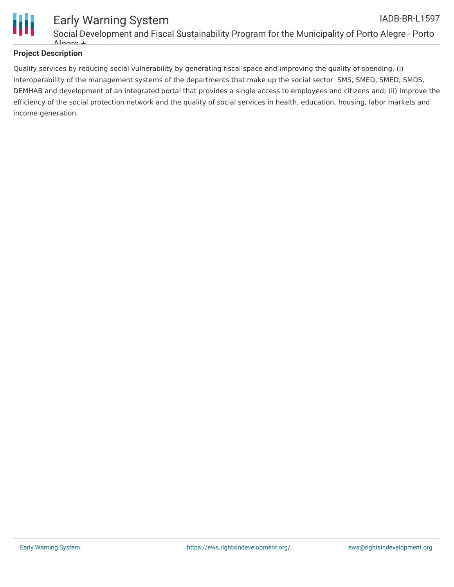

### **Project Description**

Qualify services by reducing social vulnerability by generating fiscal space and improving the quality of spending. (i) Interoperability of the management systems of the departments that make up the social sector SMS, SMED, SMED, SMDS, DEMHAB and development of an integrated portal that provides a single access to employees and citizens and; (ii) Improve the efficiency of the social protection network and the quality of social services in health, education, housing, labor markets and income generation.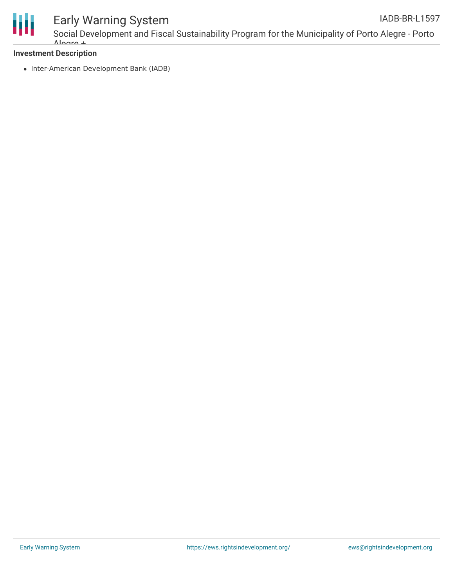

### Early Warning System

### **Investment Description**

• Inter-American Development Bank (IADB)